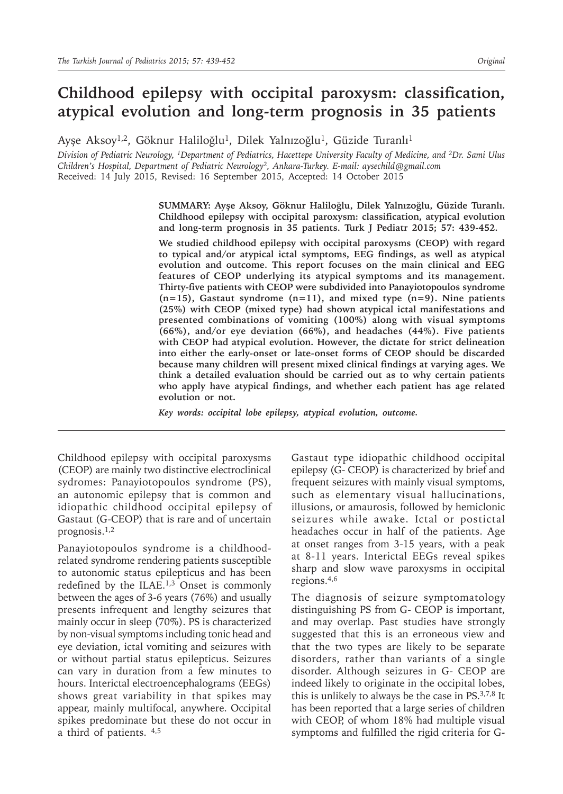# **Childhood epilepsy with occipital paroxysm: classification, atypical evolution and long-term prognosis in 35 patients**

Ayşe Aksoy<sup>1,2</sup>, Göknur Haliloğlu<sup>1</sup>, Dilek Yalnızoğlu<sup>1</sup>, Güzide Turanlı<sup>1</sup>

*Division of Pediatric Neurology, <sup>1</sup>Department of Pediatrics, Hacettepe University Faculty of Medicine, and <sup>2</sup>Dr. Sami Ulus Children's Hospital, Department of Pediatric Neurology<sup>2</sup>, Ankara-Turkey. E-mail: aysechild@gmail.com* Received: 14 July 2015, Revised: 16 September 2015, Accepted: 14 October 2015

> **SUMMARY: Ayşe Aksoy, Göknur Haliloğlu, Dilek Yalnızoğlu, Güzide Turanlı. Childhood epilepsy with occipital paroxysm: classification, atypical evolution and long-term prognosis in 35 patients. Turk J Pediatr 2015; 57: 439-452.**

> **We studied childhood epilepsy with occipital paroxysms (CEOP) with regard to typical and/or atypical ictal symptoms, EEG findings, as well as atypical evolution and outcome. This report focuses on the main clinical and EEG features of CEOP underlying its atypical symptoms and its management. Thirty-five patients with CEOP were subdivided into Panayiotopoulos syndrome (n=15), Gastaut syndrome (n=11), and mixed type (n=9). Nine patients (25%) with CEOP (mixed type) had shown atypical ictal manifestations and presented combinations of vomiting (100%) along with visual symptoms (66%), and/or eye deviation (66%), and headaches (44%). Five patients with CEOP had atypical evolution. However, the dictate for strict delineation into either the early-onset or late-onset forms of CEOP should be discarded because many children will present mixed clinical findings at varying ages. We think a detailed evaluation should be carried out as to why certain patients who apply have atypical findings, and whether each patient has age related evolution or not.**

*Key words: occipital lobe epilepsy, atypical evolution, outcome.*

Childhood epilepsy with occipital paroxysms (CEOP) are mainly two distinctive electroclinical sydromes: Panayiotopoulos syndrome (PS), an autonomic epilepsy that is common and idiopathic childhood occipital epilepsy of Gastaut (G-CEOP) that is rare and of uncertain prognosis.1,2

Panayiotopoulos syndrome is a childhoodrelated syndrome rendering patients susceptible to autonomic status epilepticus and has been redefined by the ILAE.<sup>1,3</sup> Onset is commonly between the ages of 3-6 years (76%) and usually presents infrequent and lengthy seizures that mainly occur in sleep (70%). PS is characterized by non-visual symptoms including tonic head and eye deviation, ictal vomiting and seizures with or without partial status epilepticus. Seizures can vary in duration from a few minutes to hours. Interictal electroencephalograms (EEGs) shows great variability in that spikes may appear, mainly multifocal, anywhere. Occipital spikes predominate but these do not occur in a third of patients.  $4,5$ 

Gastaut type idiopathic childhood occipital epilepsy (G- CEOP) is characterized by brief and frequent seizures with mainly visual symptoms, such as elementary visual hallucinations, illusions, or amaurosis, followed by hemiclonic seizures while awake. Ictal or postictal headaches occur in half of the patients. Age at onset ranges from 3-15 years, with a peak at 8-11 years. Interictal EEGs reveal spikes sharp and slow wave paroxysms in occipital regions.4,6

The diagnosis of seizure symptomatology distinguishing PS from G- CEOP is important, and may overlap. Past studies have strongly suggested that this is an erroneous view and that the two types are likely to be separate disorders, rather than variants of a single disorder. Although seizures in G- CEOP are indeed likely to originate in the occipital lobes, this is unlikely to always be the case in PS.3,7,8 It has been reported that a large series of children with CEOP, of whom 18% had multiple visual symptoms and fulfilled the rigid criteria for G-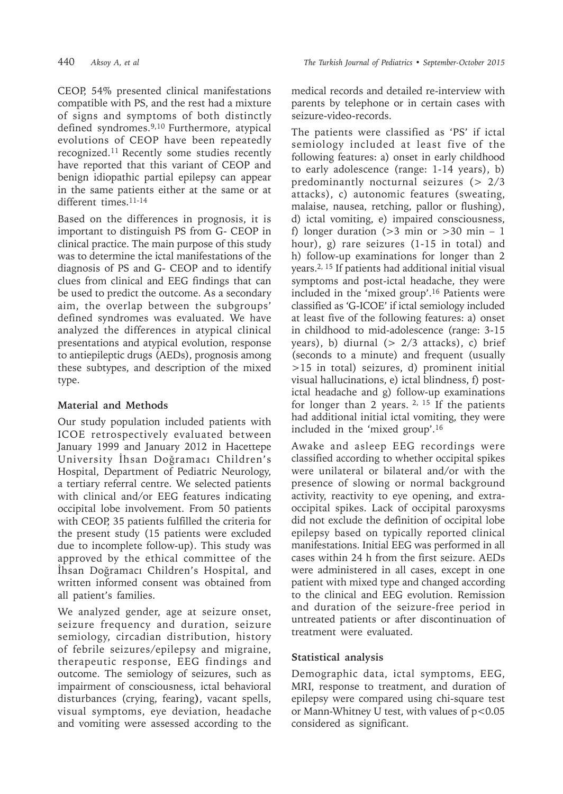CEOP, 54% presented clinical manifestations compatible with PS, and the rest had a mixture of signs and symptoms of both distinctly defined syndromes.9,10 Furthermore, atypical evolutions of CEOP have been repeatedly recognized.<sup>11</sup> Recently some studies recently have reported that this variant of CEOP and benign idiopathic partial epilepsy can appear in the same patients either at the same or at different times.<sup>11-14</sup>

Based on the differences in prognosis, it is important to distinguish PS from G- CEOP in clinical practice. The main purpose of this study was to determine the ictal manifestations of the diagnosis of PS and G- CEOP and to identify clues from clinical and EEG findings that can be used to predict the outcome. As a secondary aim, the overlap between the subgroups' defined syndromes was evaluated. We have analyzed the differences in atypical clinical presentations and atypical evolution, response to antiepileptic drugs (AEDs), prognosis among these subtypes, and description of the mixed type.

# **Material and Methods**

Our study population included patients with ICOE retrospectively evaluated between January 1999 and January 2012 in Hacettepe University İhsan Doğramacı Children's Hospital, Department of Pediatric Neurology, a tertiary referral centre. We selected patients with clinical and/or EEG features indicating occipital lobe involvement. From 50 patients with CEOP, 35 patients fulfilled the criteria for the present study (15 patients were excluded due to incomplete follow-up). This study was approved by the ethical committee of the İhsan Doğramacı Children's Hospital, and written informed consent was obtained from all patient's families.

We analyzed gender, age at seizure onset, seizure frequency and duration, seizure semiology, circadian distribution, history of febrile seizures/epilepsy and migraine, therapeutic response, EEG findings and outcome. The semiology of seizures, such as impairment of consciousness, ictal behavioral disturbances (crying, fearing**)**, vacant spells, visual symptoms, eye deviation, headache and vomiting were assessed according to the medical records and detailed re-interview with parents by telephone or in certain cases with seizure-video-records.

The patients were classified as 'PS' if ictal semiology included at least five of the following features: a) onset in early childhood to early adolescence (range: 1-14 years), b) predominantly nocturnal seizures ( $> 2/3$ attacks), c) autonomic features (sweating, malaise, nausea, retching, pallor or flushing), d) ictal vomiting, e) impaired consciousness, f) longer duration  $(>3$  min or  $>30$  min – 1 hour), g) rare seizures (1-15 in total) and h) follow-up examinations for longer than 2 years.2, 15 If patients had additional initial visual symptoms and post-ictal headache, they were included in the 'mixed group'.16 Patients were classified as 'G-ICOE' if ictal semiology included at least five of the following features: a) onset in childhood to mid-adolescence (range: 3-15 years), b) diurnal  $(> 2/3$  attacks), c) brief (seconds to a minute) and frequent (usually >15 in total) seizures, d) prominent initial visual hallucinations, e) ictal blindness, f) postictal headache and g) follow-up examinations for longer than 2 years.  $2, 15$  If the patients had additional initial ictal vomiting, they were included in the 'mixed group'.16

Awake and asleep EEG recordings were classified according to whether occipital spikes were unilateral or bilateral and/or with the presence of slowing or normal background activity, reactivity to eye opening, and extraoccipital spikes. Lack of occipital paroxysms did not exclude the definition of occipital lobe epilepsy based on typically reported clinical manifestations. Initial EEG was performed in all cases within 24 h from the first seizure. AEDs were administered in all cases, except in one patient with mixed type and changed according to the clinical and EEG evolution. Remission and duration of the seizure-free period in untreated patients or after discontinuation of treatment were evaluated.

# **Statistical analysis**

Demographic data, ictal symptoms, EEG, MRI, response to treatment, and duration of epilepsy were compared using chi-square test or Mann-Whitney U test, with values of p<0.05 considered as significant.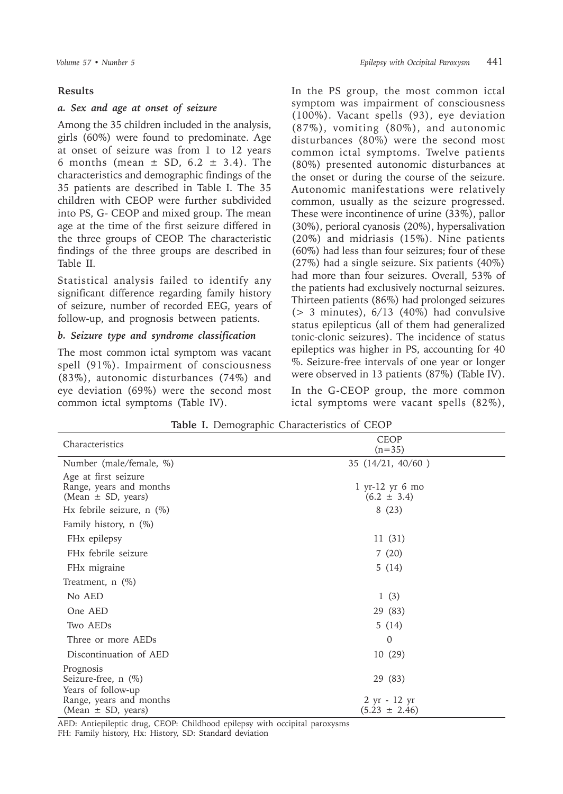### **Results**

### *a. Sex and age at onset of seizure*

Among the 35 children included in the analysis, girls (60%) were found to predominate. Age at onset of seizure was from 1 to 12 years 6 months (mean  $\pm$  SD, 6.2  $\pm$  3.4). The characteristics and demographic findings of the 35 patients are described in Table I. The 35 children with CEOP were further subdivided into PS, G- CEOP and mixed group. The mean age at the time of the first seizure differed in the three groups of CEOP. The characteristic findings of the three groups are described in Table II.

Statistical analysis failed to identify any significant difference regarding family history of seizure, number of recorded EEG, years of follow-up, and prognosis between patients.

### *b. Seizure type and syndrome classification*

The most common ictal symptom was vacant spell (91%). Impairment of consciousness (83%), autonomic disturbances (74%) and eye deviation (69%) were the second most common ictal symptoms (Table IV).

In the PS group, the most common ictal symptom was impairment of consciousness (100%). Vacant spells (93), eye deviation (87%), vomiting (80%), and autonomic disturbances (80%) were the second most common ictal symptoms. Twelve patients (80%) presented autonomic disturbances at the onset or during the course of the seizure. Autonomic manifestations were relatively common, usually as the seizure progressed. These were incontinence of urine (33%), pallor (30%), perioral cyanosis (20%), hypersalivation (20%) and midriasis (15%). Nine patients (60%) had less than four seizures; four of these (27%) had a single seizure. Six patients (40%) had more than four seizures. Overall, 53% of the patients had exclusively nocturnal seizures. Thirteen patients (86%) had prolonged seizures ( $> 3$  minutes),  $6/13$  (40%) had convulsive status epilepticus (all of them had generalized tonic-clonic seizures). The incidence of status epileptics was higher in PS, accounting for 40 %. Seizure-free intervals of one year or longer were observed in 13 patients (87%) (Table IV).

In the G-CEOP group, the more common ictal symptoms were vacant spells (82%),

| Characteristics                                                           | <b>CEOP</b><br>$(n=35)$              |
|---------------------------------------------------------------------------|--------------------------------------|
| Number (male/female, %)                                                   | 35 (14/21, 40/60)                    |
| Age at first seizure<br>Range, years and months<br>(Mean $\pm$ SD, years) | $1$ yr-12 yr 6 mo<br>$(6.2 \pm 3.4)$ |
| Hx febrile seizure, $n$ (%)                                               | 8(23)                                |
| Family history, $n$ (%)                                                   |                                      |
| FH <sub>x</sub> epilepsy                                                  | 11(31)                               |
| FH <sub>x</sub> febrile seizure                                           | 7(20)                                |
| FH <sub>x</sub> migraine                                                  | 5(14)                                |
| Treatment, $n$ (%)                                                        |                                      |
| No AED                                                                    | 1(3)                                 |
| One AED                                                                   | 29 (83)                              |
| Two AEDs                                                                  | 5(14)                                |
| Three or more AEDs                                                        | 0                                    |
| Discontinuation of AED                                                    | 10(29)                               |
| Prognosis<br>Seizure-free, $n$ (%)<br>Years of follow-up                  | 29 (83)                              |
| Range, years and months<br>(Mean $\pm$ SD, years)                         | 2 yr - 12 yr<br>$(5.23 \pm 2.46)$    |

**Table I.** Demographic Characteristics of CEOP

AED: Antiepileptic drug, CEOP: Childhood epilepsy with occipital paroxysms FH: Family history, Hx: History, SD: Standard deviation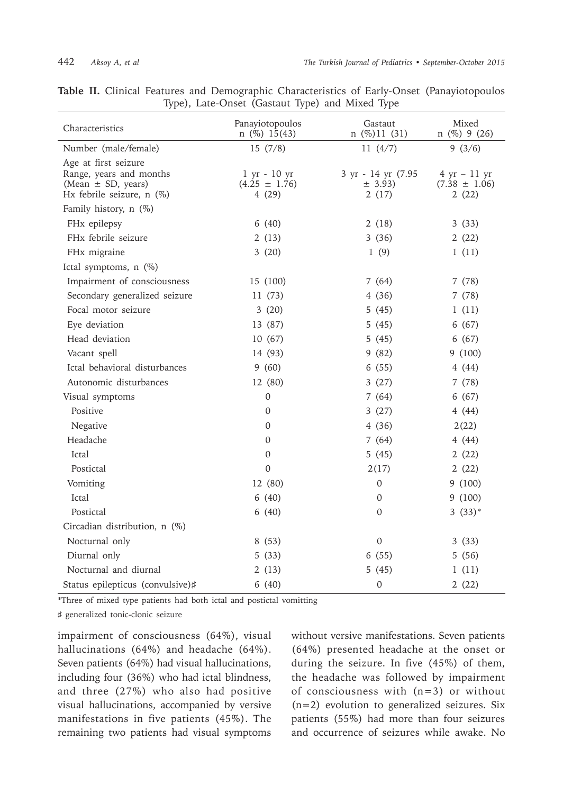| Characteristics                                                                                        | Panayiotopoulos<br>$n$ (%) 15(43)                            | Gastaut<br>$n$ (%)11 (31)              | Mixed<br>$n$ (%) 9 (26)                                      |
|--------------------------------------------------------------------------------------------------------|--------------------------------------------------------------|----------------------------------------|--------------------------------------------------------------|
| Number (male/female)                                                                                   | 15(7/8)                                                      | 11(4/7)                                | 9(3/6)                                                       |
| Age at first seizure<br>Range, years and months<br>(Mean $\pm$ SD, years)<br>Hx febrile seizure, n (%) | $1 \text{ yr} - 10 \text{ yr}$<br>$(4.25 \pm 1.76)$<br>4(29) | 3 yr - 14 yr (7.95<br>± 3.93)<br>2(17) | $4 \text{ yr} - 11 \text{ yr}$<br>$(7.38 \pm 1.06)$<br>2(22) |
| Family history, n (%)                                                                                  |                                                              |                                        |                                                              |
| FHx epilepsy                                                                                           | 6(40)                                                        | 2(18)                                  | 3(33)                                                        |
| FHx febrile seizure                                                                                    | 2(13)                                                        | 3(36)                                  | 2(22)                                                        |
| FHx migraine                                                                                           | 3(20)                                                        | 1(9)                                   | 1(11)                                                        |
| Ictal symptoms, n (%)                                                                                  |                                                              |                                        |                                                              |
| Impairment of consciousness                                                                            | 15 (100)                                                     | 7(64)                                  | 7(78)                                                        |
| Secondary generalized seizure                                                                          | 11(73)                                                       | 4(36)                                  | 7(78)                                                        |
| Focal motor seizure                                                                                    | 3(20)                                                        | 5(45)                                  | 1(11)                                                        |
| Eye deviation                                                                                          | 13 (87)                                                      | 5(45)                                  | 6(67)                                                        |
| Head deviation                                                                                         | 10 (67)                                                      | 5(45)                                  | 6(67)                                                        |
| Vacant spell                                                                                           | 14 (93)                                                      | 9(82)                                  | 9(100)                                                       |
| Ictal behavioral disturbances                                                                          | 9(60)                                                        | 6(55)                                  | 4(44)                                                        |
| Autonomic disturbances                                                                                 | 12 (80)                                                      | 3(27)                                  | 7(78)                                                        |
| Visual symptoms                                                                                        | 0                                                            | 7(64)                                  | 6(67)                                                        |
| Positive                                                                                               | $\Omega$                                                     | 3(27)                                  | 4(44)                                                        |
| Negative                                                                                               | 0                                                            | 4(36)                                  | 2(22)                                                        |
| Headache                                                                                               | 0                                                            | 7(64)                                  | 4(44)                                                        |
| Ictal                                                                                                  | $\Omega$                                                     | 5(45)                                  | 2(22)                                                        |
| Postictal                                                                                              | $\Omega$                                                     | 2(17)                                  | 2(22)                                                        |
| Vomiting                                                                                               | 12 (80)                                                      | $\Omega$                               | 9(100)                                                       |
| Ictal                                                                                                  | 6(40)                                                        | 0                                      | 9(100)                                                       |
| Postictal                                                                                              | 6(40)                                                        | 0                                      | $3(33)*$                                                     |
| Circadian distribution, n (%)                                                                          |                                                              |                                        |                                                              |
| Nocturnal only                                                                                         | 8(53)                                                        | $\mathbf 0$                            | 3(33)                                                        |
| Diurnal only                                                                                           | 5(33)                                                        | 6(55)                                  | 5(56)                                                        |
| Nocturnal and diurnal                                                                                  | 2(13)                                                        | 5(45)                                  | 1(11)                                                        |
| Status epilepticus (convulsive)#                                                                       | 6(40)                                                        | $\mathbf 0$                            | 2(22)                                                        |

**Table II.** Clinical Features and Demographic Characteristics of Early-Onset (Panayiotopoulos Type), Late-Onset (Gastaut Type) and Mixed Type

\*Three of mixed type patients had both ictal and postictal vomitting

♯ generalized tonic-clonic seizure

impairment of consciousness (64%), visual hallucinations (64%) and headache (64%). Seven patients (64%) had visual hallucinations, including four (36%) who had ictal blindness, and three (27%) who also had positive visual hallucinations, accompanied by versive manifestations in five patients (45%). The remaining two patients had visual symptoms

without versive manifestations. Seven patients (64%) presented headache at the onset or during the seizure. In five (45%) of them, the headache was followed by impairment of consciousness with (n=3) or without (n=2) evolution to generalized seizures. Six patients (55%) had more than four seizures and occurrence of seizures while awake. No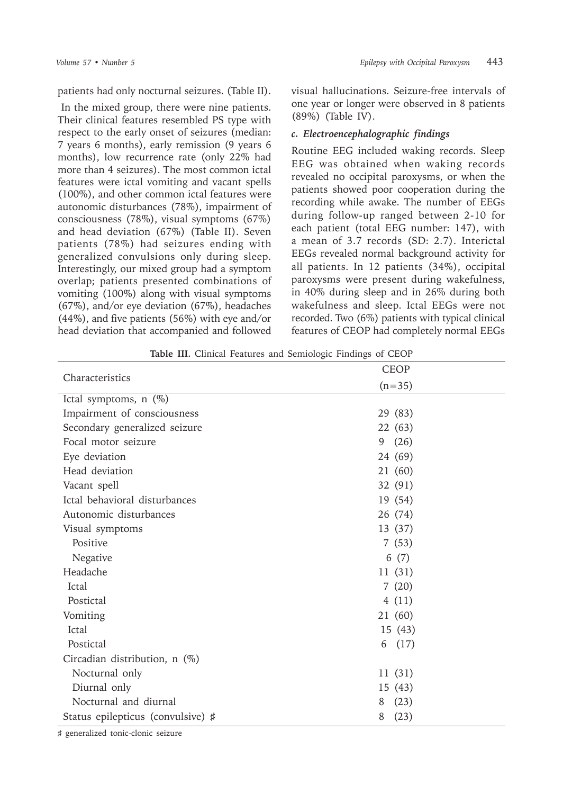patients had only nocturnal seizures. (Table II).

 In the mixed group, there were nine patients. Their clinical features resembled PS type with respect to the early onset of seizures (median: 7 years 6 months), early remission (9 years 6 months), low recurrence rate (only 22% had more than 4 seizures). The most common ictal features were ictal vomiting and vacant spells (100%), and other common ictal features were autonomic disturbances (78%), impairment of consciousness (78%), visual symptoms (67%) and head deviation (67%) (Table II). Seven patients (78%) had seizures ending with generalized convulsions only during sleep. Interestingly, our mixed group had a symptom overlap; patients presented combinations of vomiting (100%) along with visual symptoms (67%), and/or eye deviation (67%), headaches (44%), and five patients (56%) with eye and/or head deviation that accompanied and followed

visual hallucinations. Seizure-free intervals of one year or longer were observed in 8 patients (89%) (Table IV).

## *c. Electroencephalographic findings*

Routine EEG included waking records. Sleep EEG was obtained when waking records revealed no occipital paroxysms, or when the patients showed poor cooperation during the recording while awake. The number of EEGs during follow-up ranged between 2-10 for each patient (total EEG number: 147), with a mean of 3.7 records (SD: 2.7). Interictal EEGs revealed normal background activity for all patients. In 12 patients (34%), occipital paroxysms were present during wakefulness, in 40% during sleep and in 26% during both wakefulness and sleep. Ictal EEGs were not recorded. Two (6%) patients with typical clinical features of CEOP had completely normal EEGs

**Table III.** Clinical Features and Semiologic Findings of CEOP

|                                   | <b>CEOP</b> |
|-----------------------------------|-------------|
| Characteristics                   | $(n=35)$    |
| Ictal symptoms, $n$ (%)           |             |
| Impairment of consciousness       | 29 (83)     |
| Secondary generalized seizure     | 22(63)      |
| Focal motor seizure               | 9(26)       |
| Eye deviation                     | 24 (69)     |
| Head deviation                    | 21 (60)     |
| Vacant spell                      | 32 (91)     |
| Ictal behavioral disturbances     | 19 (54)     |
| Autonomic disturbances            | 26 (74)     |
| Visual symptoms                   | 13 (37)     |
| Positive                          | 7(53)       |
| Negative                          | 6(7)        |
| Headache                          | 11(31)      |
| Ictal                             | 7(20)       |
| Postictal                         | 4(11)       |
| Vomiting                          | 21 (60)     |
| Ictal                             | 15(43)      |
| Postictal                         | 6<br>(17)   |
| Circadian distribution, n (%)     |             |
| Nocturnal only                    | 11(31)      |
| Diurnal only                      | 15(43)      |
| Nocturnal and diurnal             | (23)<br>8   |
| Status epilepticus (convulsive) # | (23)<br>8   |

♯ generalized tonic-clonic seizure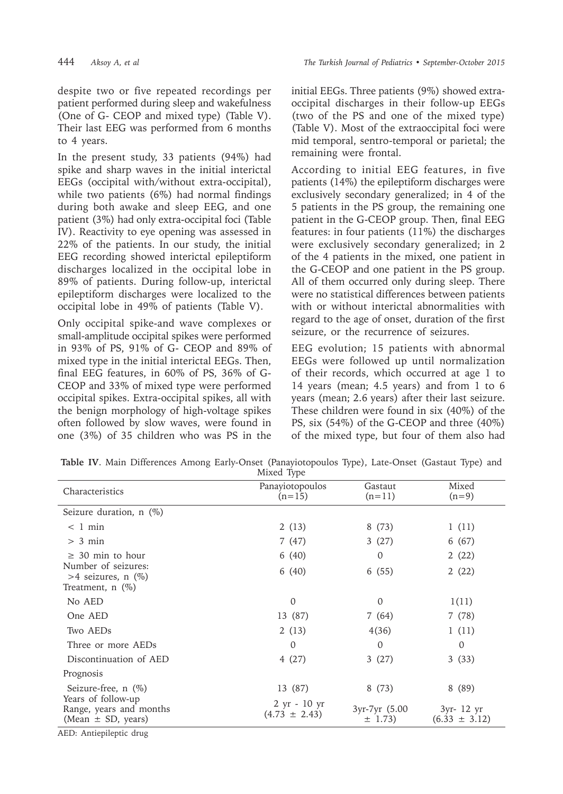444 *Aksoy A, et al The Turkish Journal of Pediatrics • September-October 2015*

despite two or five repeated recordings per patient performed during sleep and wakefulness (One of G- CEOP and mixed type) (Table V). Their last EEG was performed from 6 months to 4 years.

In the present study, 33 patients (94%) had spike and sharp waves in the initial interictal EEGs (occipital with/without extra-occipital), while two patients (6%) had normal findings during both awake and sleep EEG, and one patient (3%) had only extra-occipital foci (Table IV). Reactivity to eye opening was assessed in 22% of the patients. In our study, the initial EEG recording showed interictal epileptiform discharges localized in the occipital lobe in 89% of patients. During follow-up, interictal epileptiform discharges were localized to the occipital lobe in 49% of patients (Table V).

Only occipital spike-and wave complexes or small-amplitude occipital spikes were performed in 93% of PS, 91% of G- CEOP and 89% of mixed type in the initial interictal EEGs. Then, final EEG features, in 60% of PS, 36% of G-CEOP and 33% of mixed type were performed occipital spikes. Extra-occipital spikes, all with the benign morphology of high-voltage spikes often followed by slow waves, were found in one (3%) of 35 children who was PS in the

initial EEGs. Three patients (9%) showed extraoccipital discharges in their follow-up EEGs (two of the PS and one of the mixed type) (Table V). Most of the extraoccipital foci were mid temporal, sentro-temporal or parietal; the remaining were frontal.

According to initial EEG features, in five patients (14%) the epileptiform discharges were exclusively secondary generalized; in 4 of the 5 patients in the PS group, the remaining one patient in the G-CEOP group. Then, final EEG features: in four patients (11%) the discharges were exclusively secondary generalized; in 2 of the 4 patients in the mixed, one patient in the G-CEOP and one patient in the PS group. All of them occurred only during sleep. There were no statistical differences between patients with or without interictal abnormalities with regard to the age of onset, duration of the first seizure, or the recurrence of seizures.

EEG evolution; 15 patients with abnormal EEGs were followed up until normalization of their records, which occurred at age 1 to 14 years (mean; 4.5 years) and from 1 to 6 years (mean; 2.6 years) after their last seizure. These children were found in six (40%) of the PS, six (54%) of the G-CEOP and three (40%) of the mixed type, but four of them also had

|  |  |  | Table IV. Main Differences Among Early-Onset (Panayiotopoulos Type), Late-Onset (Gastaut Type) and |  |  |  |
|--|--|--|----------------------------------------------------------------------------------------------------|--|--|--|
|  |  |  | Mixed Type                                                                                         |  |  |  |

|                                                                         | $\sqrt{1}$                        |                              |                                 |
|-------------------------------------------------------------------------|-----------------------------------|------------------------------|---------------------------------|
| Characteristics                                                         | Panayiotopoulos<br>$(n=15)$       | Gastaut<br>$(n=11)$          | Mixed<br>$(n=9)$                |
| Seizure duration, $n$ (%)                                               |                                   |                              |                                 |
| $< 1$ min                                                               | 2(13)                             | 8(73)                        | 1(11)                           |
| $> 3$ min                                                               | 7 (47)                            | 3(27)                        | 6 (67)                          |
| $\geq$ 30 min to hour                                                   | 6(40)                             | 0                            | 2(22)                           |
| Number of seizures:<br>$>4$ seizures, n $(\%)$<br>Treatment, $n$ $(\%)$ | 6(40)                             | 6(55)                        | 2(22)                           |
| No AED                                                                  | $\Omega$                          | $\Omega$                     | 1(11)                           |
| One AED                                                                 | 13 (87)                           | 7(64)                        | 7(78)                           |
| Two AEDs                                                                | 2(13)                             | 4(36)                        | 1(11)                           |
| Three or more AEDs                                                      | 0                                 | 0                            | $\Omega$                        |
| Discontinuation of AED                                                  | 4(27)                             | 3(27)                        | 3(33)                           |
| Prognosis                                                               |                                   |                              |                                 |
| Seizure-free, $n$ (%)                                                   | 13 (87)                           | 8 (73)                       | 8 (89)                          |
| Years of follow-up<br>Range, years and months<br>(Mean $\pm$ SD, years) | 2 yr - 10 yr<br>$(4.73 \pm 2.43)$ | 3yr-7yr (5.00<br>$\pm$ 1.73) | 3yr- 12 yr<br>$(6.33 \pm 3.12)$ |

AED: Antiepileptic drug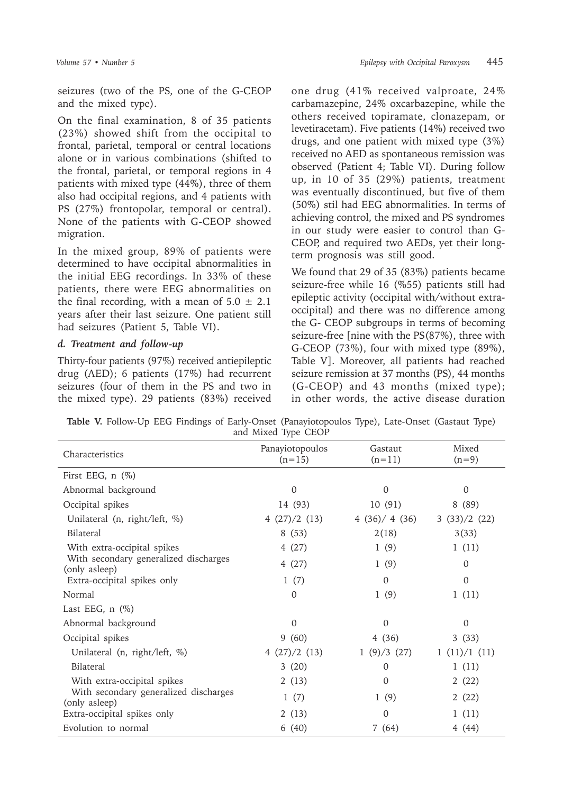seizures (two of the PS, one of the G-CEOP and the mixed type).

On the final examination, 8 of 35 patients (23%) showed shift from the occipital to frontal, parietal, temporal or central locations alone or in various combinations (shifted to the frontal, parietal, or temporal regions in 4 patients with mixed type (44%), three of them also had occipital regions, and 4 patients with PS (27%) frontopolar, temporal or central). None of the patients with G-CEOP showed migration.

In the mixed group, 89% of patients were determined to have occipital abnormalities in the initial EEG recordings. In 33% of these patients, there were EEG abnormalities on the final recording, with a mean of  $5.0 \pm 2.1$ years after their last seizure. One patient still had seizures (Patient 5, Table VI).

# *d. Treatment and follow-up*

Thirty-four patients (97%) received antiepileptic drug (AED); 6 patients (17%) had recurrent seizures (four of them in the PS and two in the mixed type). 29 patients (83%) received

one drug (41% received valproate, 24% carbamazepine, 24% oxcarbazepine, while the others received topiramate, clonazepam, or levetiracetam). Five patients (14%) received two drugs, and one patient with mixed type (3%) received no AED as spontaneous remission was observed (Patient 4; Table VI). During follow up, in 10 of 35 (29%) patients, treatment was eventually discontinued, but five of them (50%) stil had EEG abnormalities. In terms of achieving control, the mixed and PS syndromes in our study were easier to control than G-CEOP, and required two AEDs, yet their longterm prognosis was still good.

We found that 29 of 35 (83%) patients became seizure-free while 16 (%55) patients still had epileptic activity (occipital with/without extraoccipital) and there was no difference among the G- CEOP subgroups in terms of becoming seizure-free [nine with the PS(87%), three with G-CEOP (73%), four with mixed type (89%), Table V]. Moreover, all patients had reached seizure remission at 37 months (PS), 44 months (G-CEOP) and 43 months (mixed type); in other words, the active disease duration

**Table V.** Follow-Up EEG Findings of Early-Onset (Panayiotopoulos Type), Late-Onset (Gastaut Type) and Mixed Type CEOP

| Characteristics                                        | Panayiotopoulos<br>$(n=15)$ | Gastaut<br>$(n=11)$ | Mixed<br>$(n=9)$ |
|--------------------------------------------------------|-----------------------------|---------------------|------------------|
| First EEG, $n$ $(\%)$                                  |                             |                     |                  |
| Abnormal background                                    | $\Omega$                    | $\Omega$            | $\Omega$         |
| Occipital spikes                                       | 14 (93)                     | 10(91)              | 8(89)            |
| Unilateral (n, right/left, %)                          | 4(27)/2(13)                 | 4(36)/4(36)         | 3(33)/2(22)      |
| Bilateral                                              | 8(53)                       | 2(18)               | 3(33)            |
| With extra-occipital spikes                            | 4(27)                       | 1(9)                | 1(11)            |
| With secondary generalized discharges<br>(only asleep) | 4(27)                       | 1(9)                | $\mathbf 0$      |
| Extra-occipital spikes only                            | 1(7)                        | $\Omega$            | $\Omega$         |
| Normal                                                 | $\Omega$                    | 1(9)                | 1(11)            |
| Last EEG, $n$ $(\%)$                                   |                             |                     |                  |
| Abnormal background                                    | $\Omega$                    | $\Omega$            | $\Omega$         |
| Occipital spikes                                       | 9(60)                       | 4(36)               | 3(33)            |
| Unilateral (n, right/left, %)                          | 4(27)/2(13)                 | 1(9)/3(27)          | 1(11)/1(11)      |
| <b>Bilateral</b>                                       | 3(20)                       | $\Omega$            | 1(11)            |
| With extra-occipital spikes                            | 2(13)                       | $\mathbf{0}$        | 2(22)            |
| With secondary generalized discharges<br>(only asleep) | 1(7)                        | 1(9)                | 2(22)            |
| Extra-occipital spikes only                            | 2(13)                       | $\Omega$            | 1(11)            |
| Evolution to normal                                    | 6(40)                       | 7(64)               | 4(44)            |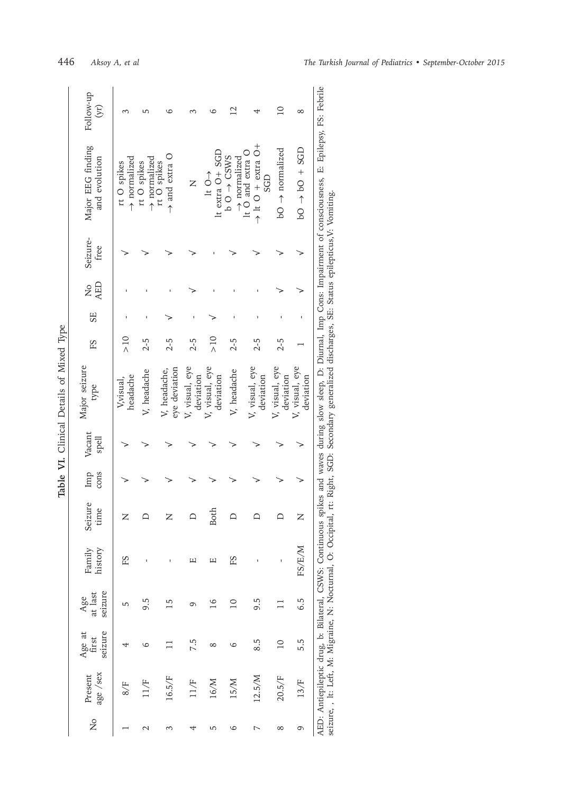| $\tilde{F}$<br>ł |  |
|------------------|--|
| j                |  |
| ć                |  |
| $hat{a}$         |  |
| المناجة:         |  |
| ì                |  |
| ٦                |  |

| Follow-up<br>$\rm (yr)$<br>$\overline{10}$<br>$^{12}$<br>$\infty$<br>ص<br>$\rightarrow$ It O $\pm$ extra O +<br>Major EEG finding<br>$100 + 501 + 501$<br>$bO \rightarrow normalized$<br>It O and extra O<br>It extra O + SGD<br>$\rightarrow$ and extra O<br>$b$ O $\rightarrow$ CSWS<br>$\rightarrow$ normalized<br>$\rightarrow$ normalized<br>and evolution<br>$\rightarrow$ normalized<br>rt O spikes<br>rt O spikes<br>rt O spikes<br>$\uparrow$<br><b>GD</b><br>Z<br>Seizure-<br>free<br><b>AED</b><br>$\frac{1}{2}$<br>SE<br>$\frac{1}{2}$<br>$\frac{1}{\lambda}$<br>$2 - 5$<br>$2 - 5$<br>$2 - 5$<br>$2 - 5$<br>$2 - 5$<br>$2 - 5$<br>FS<br>Major seizure<br>V, visual, eye<br>V, visual, eye<br>V, visual, eye<br>V, visual, eye<br>V, visual, eye<br>eye deviation<br>V, headache<br>V, headache<br>V, headache,<br>headache<br>deviation<br>deviation<br>deviation<br>deviation<br>deviation<br>V,visual,<br>type<br>Vacant<br>spell<br>cons<br>Imp | AED: Antiepilce drug, b: Bilateral, CSWS: Continuous spikes and waves during slow sleep, D: Diurnal, Imp Cons: Impairment of consciousness, E: Epilepsy, FS: Febrile<br>seizure, , It: Left, M: Migraine, N: Nocturnal, O: Occipital, rt: Right, SGD: Secondary generalized discharges, SE: Status epilepticus,V: Vomiting.<br>time<br><b>Both</b><br>≏<br>Z<br>z<br>z |                                                                                                     |  |  |         |  | able vi. Chillical Details on Mixed 19pe |  |  |  |
|-----------------------------------------------------------------------------------------------------------------------------------------------------------------------------------------------------------------------------------------------------------------------------------------------------------------------------------------------------------------------------------------------------------------------------------------------------------------------------------------------------------------------------------------------------------------------------------------------------------------------------------------------------------------------------------------------------------------------------------------------------------------------------------------------------------------------------------------------------------------------------------------------------------------------------------------------------------------|------------------------------------------------------------------------------------------------------------------------------------------------------------------------------------------------------------------------------------------------------------------------------------------------------------------------------------------------------------------------|-----------------------------------------------------------------------------------------------------|--|--|---------|--|------------------------------------------|--|--|--|
|                                                                                                                                                                                                                                                                                                                                                                                                                                                                                                                                                                                                                                                                                                                                                                                                                                                                                                                                                                 |                                                                                                                                                                                                                                                                                                                                                                        | history<br>Family<br>seizure<br>at last<br>Age<br>seizure<br>Age at<br>first<br>age /sex<br>Present |  |  | Seizure |  |                                          |  |  |  |
|                                                                                                                                                                                                                                                                                                                                                                                                                                                                                                                                                                                                                                                                                                                                                                                                                                                                                                                                                                 |                                                                                                                                                                                                                                                                                                                                                                        | FS<br>8/5                                                                                           |  |  |         |  |                                          |  |  |  |
|                                                                                                                                                                                                                                                                                                                                                                                                                                                                                                                                                                                                                                                                                                                                                                                                                                                                                                                                                                 |                                                                                                                                                                                                                                                                                                                                                                        | 9.5<br>6                                                                                            |  |  |         |  |                                          |  |  |  |
|                                                                                                                                                                                                                                                                                                                                                                                                                                                                                                                                                                                                                                                                                                                                                                                                                                                                                                                                                                 |                                                                                                                                                                                                                                                                                                                                                                        | m<br>16.5/F                                                                                         |  |  |         |  |                                          |  |  |  |
|                                                                                                                                                                                                                                                                                                                                                                                                                                                                                                                                                                                                                                                                                                                                                                                                                                                                                                                                                                 |                                                                                                                                                                                                                                                                                                                                                                        | щ<br>9<br>7.5<br>11/F                                                                               |  |  |         |  |                                          |  |  |  |
|                                                                                                                                                                                                                                                                                                                                                                                                                                                                                                                                                                                                                                                                                                                                                                                                                                                                                                                                                                 |                                                                                                                                                                                                                                                                                                                                                                        | щ<br>$\overline{16}$<br>∞<br>16/M                                                                   |  |  |         |  |                                          |  |  |  |
|                                                                                                                                                                                                                                                                                                                                                                                                                                                                                                                                                                                                                                                                                                                                                                                                                                                                                                                                                                 |                                                                                                                                                                                                                                                                                                                                                                        | ΕS<br>$\overline{10}$<br>6<br>15/M                                                                  |  |  |         |  |                                          |  |  |  |
|                                                                                                                                                                                                                                                                                                                                                                                                                                                                                                                                                                                                                                                                                                                                                                                                                                                                                                                                                                 |                                                                                                                                                                                                                                                                                                                                                                        | 9.5<br>8.5<br>12.5/M                                                                                |  |  |         |  |                                          |  |  |  |
|                                                                                                                                                                                                                                                                                                                                                                                                                                                                                                                                                                                                                                                                                                                                                                                                                                                                                                                                                                 |                                                                                                                                                                                                                                                                                                                                                                        | $\overline{10}$<br>20.5/F                                                                           |  |  |         |  |                                          |  |  |  |
|                                                                                                                                                                                                                                                                                                                                                                                                                                                                                                                                                                                                                                                                                                                                                                                                                                                                                                                                                                 |                                                                                                                                                                                                                                                                                                                                                                        | FS/E/M<br>6.5<br>5.5<br>13/F                                                                        |  |  |         |  |                                          |  |  |  |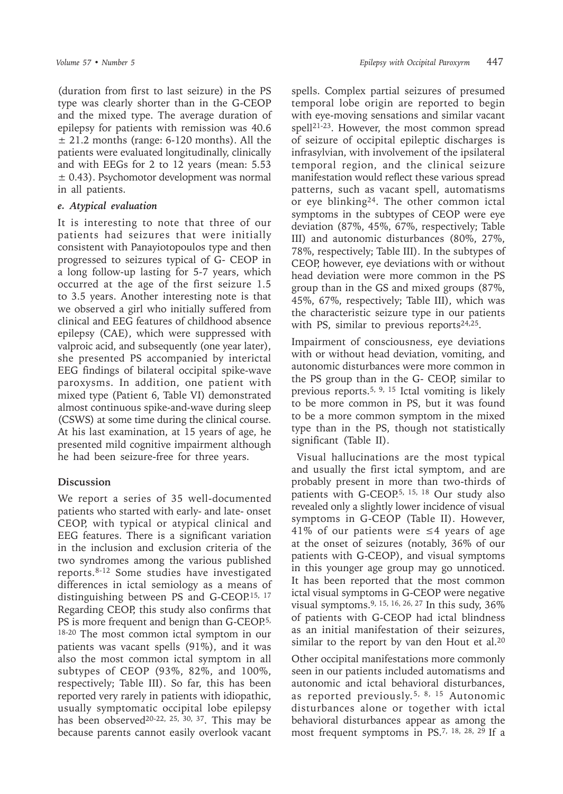(duration from first to last seizure) in the PS type was clearly shorter than in the G-CEOP and the mixed type. The average duration of epilepsy for patients with remission was 40.6  $\pm$  21.2 months (range: 6-120 months). All the patients were evaluated longitudinally, clinically and with EEGs for 2 to 12 years (mean: 5.53 ± 0.43). Psychomotor development was normal in all patients.

### *e. Atypical evaluation*

It is interesting to note that three of our patients had seizures that were initially consistent with Panayiotopoulos type and then progressed to seizures typical of G- CEOP in a long follow-up lasting for 5-7 years, which occurred at the age of the first seizure 1.5 to 3.5 years. Another interesting note is that we observed a girl who initially suffered from clinical and EEG features of childhood absence epilepsy (CAE), which were suppressed with valproic acid, and subsequently (one year later), she presented PS accompanied by interictal EEG findings of bilateral occipital spike-wave paroxysms. In addition, one patient with mixed type (Patient 6, Table VI) demonstrated almost continuous spike-and-wave during sleep (CSWS) at some time during the clinical course. At his last examination, at 15 years of age, he presented mild cognitive impairment although he had been seizure-free for three years.

# **Discussion**

We report a series of 35 well-documented patients who started with early- and late- onset CEOP, with typical or atypical clinical and EEG features. There is a significant variation in the inclusion and exclusion criteria of the two syndromes among the various published reports.8-12 Some studies have investigated differences in ictal semiology as a means of distinguishing between PS and G-CEOP.<sup>15, 17</sup> Regarding CEOP, this study also confirms that PS is more frequent and benign than G-CEOP.<sup>5,</sup> 18-20 The most common ictal symptom in our patients was vacant spells (91%), and it was also the most common ictal symptom in all subtypes of CEOP (93%, 82%, and 100%, respectively; Table III). So far, this has been reported very rarely in patients with idiopathic, usually symptomatic occipital lobe epilepsy has been observed<sup>20-22, 25, 30, 37</sup>. This may be because parents cannot easily overlook vacant

spells. Complex partial seizures of presumed temporal lobe origin are reported to begin with eye-moving sensations and similar vacant spell21-23. However, the most common spread of seizure of occipital epileptic discharges is infrasylvian, with involvement of the ipsilateral temporal region, and the clinical seizure manifestation would reflect these various spread patterns, such as vacant spell, automatisms or eye blinking<sup>24</sup>. The other common ictal symptoms in the subtypes of CEOP were eye deviation (87%, 45%, 67%, respectively; Table III) and autonomic disturbances (80%, 27%, 78%, respectively; Table III). In the subtypes of CEOP, however, eye deviations with or without head deviation were more common in the PS group than in the GS and mixed groups (87%, 45%, 67%, respectively; Table III), which was the characteristic seizure type in our patients with PS, similar to previous reports $24,25$ .

Impairment of consciousness, eye deviations with or without head deviation, vomiting, and autonomic disturbances were more common in the PS group than in the G- CEOP, similar to previous reports.5, 9, 15 Ictal vomiting is likely to be more common in PS, but it was found to be a more common symptom in the mixed type than in the PS, though not statistically significant (Table II).

 Visual hallucinations are the most typical and usually the first ictal symptom, and are probably present in more than two-thirds of patients with G-CEOP.<sup>5, 15, 18</sup> Our study also revealed only a slightly lower incidence of visual symptoms in G-CEOP (Table II). However, 41% of our patients were  $\leq$ 4 years of age at the onset of seizures (notably, 36% of our patients with G-CEOP), and visual symptoms in this younger age group may go unnoticed. It has been reported that the most common ictal visual symptoms in G-CEOP were negative visual symptoms.9, 15, 16, 26, 27 In this sudy, 36% of patients with G-CEOP had ictal blindness as an initial manifestation of their seizures, similar to the report by van den Hout et al.<sup>20</sup>

Other occipital manifestations more commonly seen in our patients included automatisms and autonomic and ictal behavioral disturbances, as reported previously.5, 8, 15 Autonomic disturbances alone or together with ictal behavioral disturbances appear as among the most frequent symptoms in PS.7, 18, 28, 29 If a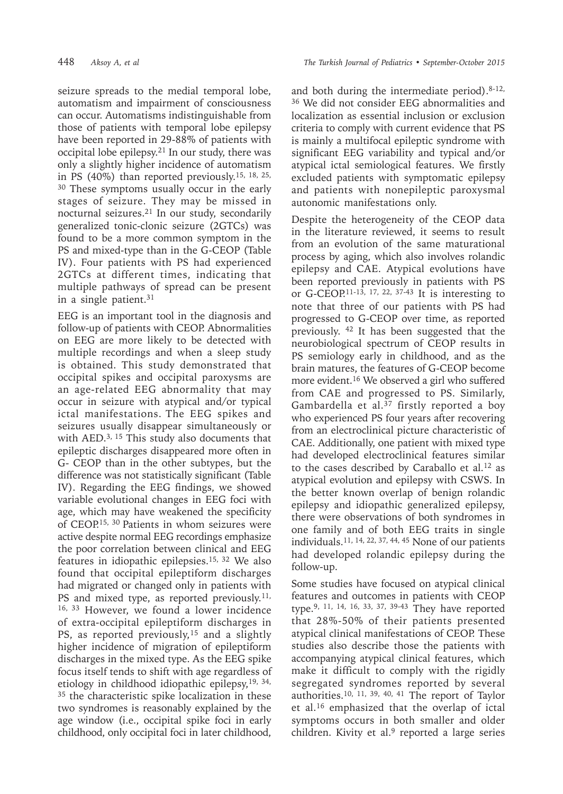seizure spreads to the medial temporal lobe, automatism and impairment of consciousness can occur. Automatisms indistinguishable from those of patients with temporal lobe epilepsy have been reported in 29-88% of patients with occipital lobe epilepsy.<sup>21</sup> In our study, there was only a slightly higher incidence of automatism in PS (40%) than reported previously.15, 18, 25, <sup>30</sup> These symptoms usually occur in the early stages of seizure. They may be missed in nocturnal seizures.<sup>21</sup> In our study, secondarily generalized tonic-clonic seizure (2GTCs) was found to be a more common symptom in the PS and mixed-type than in the G-CEOP (Table IV). Four patients with PS had experienced 2GTCs at different times, indicating that multiple pathways of spread can be present in a single patient. $31$ 

EEG is an important tool in the diagnosis and follow-up of patients with CEOP. Abnormalities on EEG are more likely to be detected with multiple recordings and when a sleep study is obtained. This study demonstrated that occipital spikes and occipital paroxysms are an age-related EEG abnormality that may occur in seizure with atypical and/or typical ictal manifestations. The EEG spikes and seizures usually disappear simultaneously or with AED.<sup>3, 15</sup> This study also documents that epileptic discharges disappeared more often in G- CEOP than in the other subtypes, but the difference was not statistically significant (Table IV). Regarding the EEG findings, we showed variable evolutional changes in EEG foci with age, which may have weakened the specificity of CEOP.15, 30 Patients in whom seizures were active despite normal EEG recordings emphasize the poor correlation between clinical and EEG features in idiopathic epilepsies.15, 32 We also found that occipital epileptiform discharges had migrated or changed only in patients with PS and mixed type, as reported previously.<sup>11,</sup> 16, 33 However, we found a lower incidence of extra-occipital epileptiform discharges in PS, as reported previously,<sup>15</sup> and a slightly higher incidence of migration of epileptiform discharges in the mixed type. As the EEG spike focus itself tends to shift with age regardless of etiology in childhood idiopathic epilepsy, <sup>19, 34,</sup> <sup>35</sup> the characteristic spike localization in these two syndromes is reasonably explained by the age window (i.e., occipital spike foci in early childhood, only occipital foci in later childhood,

and both during the intermediate period). $8-12$ , 36 We did not consider EEG abnormalities and localization as essential inclusion or exclusion criteria to comply with current evidence that PS is mainly a multifocal epileptic syndrome with significant EEG variability and typical and/or atypical ictal semiological features. We firstly excluded patients with symptomatic epilepsy and patients with nonepileptic paroxysmal autonomic manifestations only.

Despite the heterogeneity of the CEOP data in the literature reviewed, it seems to result from an evolution of the same maturational process by aging, which also involves rolandic epilepsy and CAE. Atypical evolutions have been reported previously in patients with PS or G-CEOP.<sup>11-13, 17, 22, 37-43</sup> It is interesting to note that three of our patients with PS had progressed to G-CEOP over time, as reported previously. <sup>42</sup> It has been suggested that the neurobiological spectrum of CEOP results in PS semiology early in childhood, and as the brain matures, the features of G-CEOP become more evident.16 We observed a girl who suffered from CAE and progressed to PS. Similarly, Gambardella et al.37 firstly reported a boy who experienced PS four years after recovering from an electroclinical picture characteristic of CAE. Additionally, one patient with mixed type had developed electroclinical features similar to the cases described by Caraballo et al.<sup>12</sup> as atypical evolution and epilepsy with CSWS. In the better known overlap of benign rolandic epilepsy and idiopathic generalized epilepsy, there were observations of both syndromes in one family and of both EEG traits in single individuals.11, 14, 22, 37, 44, 45 None of our patients had developed rolandic epilepsy during the follow-up.

Some studies have focused on atypical clinical features and outcomes in patients with CEOP type.<sup>9, 11, 14, 16, 33, 37, 39-43</sup> They have reported that 28%-50% of their patients presented atypical clinical manifestations of CEOP. These studies also describe those the patients with accompanying atypical clinical features, which make it difficult to comply with the rigidly segregated syndromes reported by several authorities.10, 11, 39, 40, 41 The report of Taylor et al.16 emphasized that the overlap of ictal symptoms occurs in both smaller and older children. Kivity et al.<sup>9</sup> reported a large series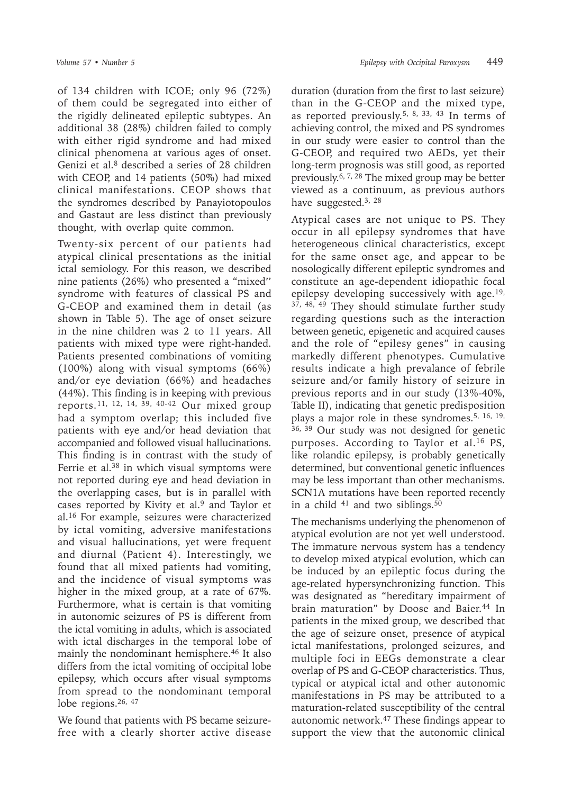of 134 children with ICOE; only 96 (72%) of them could be segregated into either of the rigidly delineated epileptic subtypes. An additional 38 (28%) children failed to comply with either rigid syndrome and had mixed clinical phenomena at various ages of onset. Genizi et al.<sup>8</sup> described a series of 28 children with CEOP, and 14 patients (50%) had mixed clinical manifestations. CEOP shows that the syndromes described by Panayiotopoulos and Gastaut are less distinct than previously thought, with overlap quite common.

Twenty-six percent of our patients had atypical clinical presentations as the initial ictal semiology. For this reason, we described nine patients (26%) who presented a "mixed'' syndrome with features of classical PS and G-CEOP and examined them in detail (as shown in Table 5). The age of onset seizure in the nine children was 2 to 11 years. All patients with mixed type were right-handed. Patients presented combinations of vomiting (100%) along with visual symptoms (66%) and/or eye deviation (66%) and headaches (44%). This finding is in keeping with previous reports.11, 12, 14, 39, 40-42 Our mixed group had a symptom overlap; this included five patients with eye and/or head deviation that accompanied and followed visual hallucinations. This finding is in contrast with the study of Ferrie et al.<sup>38</sup> in which visual symptoms were not reported during eye and head deviation in the overlapping cases, but is in parallel with cases reported by Kivity et al.9 and Taylor et al.16 For example, seizures were characterized by ictal vomiting, adversive manifestations and visual hallucinations, yet were frequent and diurnal (Patient 4). Interestingly, we found that all mixed patients had vomiting, and the incidence of visual symptoms was higher in the mixed group, at a rate of 67%. Furthermore, what is certain is that vomiting in autonomic seizures of PS is different from the ictal vomiting in adults, which is associated with ictal discharges in the temporal lobe of mainly the nondominant hemisphere.46 It also differs from the ictal vomiting of occipital lobe epilepsy, which occurs after visual symptoms from spread to the nondominant temporal lobe regions.26, 47

We found that patients with PS became seizurefree with a clearly shorter active disease

duration (duration from the first to last seizure) than in the G-CEOP and the mixed type, as reported previously.<sup>5, 8, 33, 43</sup> In terms of achieving control, the mixed and PS syndromes in our study were easier to control than the G-CEOP, and required two AEDs, yet their long-term prognosis was still good, as reported previously.6, 7, 28 The mixed group may be better viewed as a continuum, as previous authors have suggested.3, 28

Atypical cases are not unique to PS. They occur in all epilepsy syndromes that have heterogeneous clinical characteristics, except for the same onset age, and appear to be nosologically different epileptic syndromes and constitute an age-dependent idiopathic focal epilepsy developing successively with age.19, 37, 48, 49 They should stimulate further study regarding questions such as the interaction between genetic, epigenetic and acquired causes and the role of "epilesy genes" in causing markedly different phenotypes. Cumulative results indicate a high prevalance of febrile seizure and/or family history of seizure in previous reports and in our study (13%-40%, Table II), indicating that genetic predisposition plays a major role in these syndromes.5, 16, 19, 36, 39 Our study was not designed for genetic purposes. According to Taylor et al.<sup>16</sup> PS, like rolandic epilepsy, is probably genetically determined, but conventional genetic influences may be less important than other mechanisms. SCN1A mutations have been reported recently in a child <sup>41</sup> and two siblings.<sup>50</sup>

The mechanisms underlying the phenomenon of atypical evolution are not yet well understood. The immature nervous system has a tendency to develop mixed atypical evolution, which can be induced by an epileptic focus during the age-related hypersynchronizing function. This was designated as "hereditary impairment of brain maturation" by Doose and Baier.<sup>44</sup> In patients in the mixed group, we described that the age of seizure onset, presence of atypical ictal manifestations, prolonged seizures, and multiple foci in EEGs demonstrate a clear overlap of PS and G-CEOP characteristics. Thus, typical or atypical ictal and other autonomic manifestations in PS may be attributed to a maturation-related susceptibility of the central autonomic network.47 These findings appear to support the view that the autonomic clinical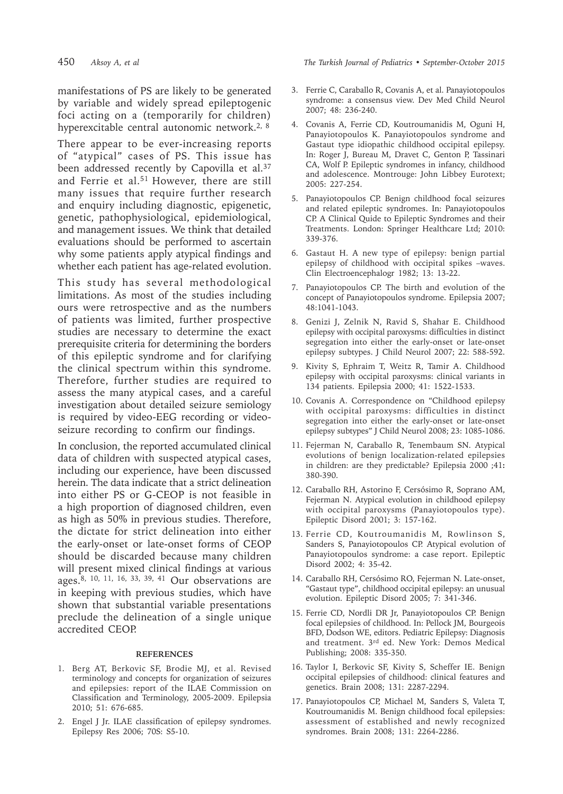manifestations of PS are likely to be generated by variable and widely spread epileptogenic foci acting on a (temporarily for children) hyperexcitable central autonomic network.<sup>2, 8</sup>

There appear to be ever-increasing reports of "atypical" cases of PS. This issue has been addressed recently by Capovilla et al.<sup>37</sup> and Ferrie et al.<sup>51</sup> However, there are still many issues that require further research and enquiry including diagnostic, epigenetic, genetic, pathophysiological, epidemiological, and management issues. We think that detailed evaluations should be performed to ascertain why some patients apply atypical findings and whether each patient has age-related evolution.

This study has several methodological limitations. As most of the studies including ours were retrospective and as the numbers of patients was limited, further prospective studies are necessary to determine the exact prerequisite criteria for determining the borders of this epileptic syndrome and for clarifying the clinical spectrum within this syndrome. Therefore, further studies are required to assess the many atypical cases, and a careful investigation about detailed seizure semiology is required by video-EEG recording or videoseizure recording to confirm our findings.

In conclusion, the reported accumulated clinical data of children with suspected atypical cases, including our experience, have been discussed herein. The data indicate that a strict delineation into either PS or G-CEOP is not feasible in a high proportion of diagnosed children, even as high as 50% in previous studies. Therefore, the dictate for strict delineation into either the early-onset or late-onset forms of CEOP should be discarded because many children will present mixed clinical findings at various ages.8, 10, 11, 16, 33, 39, 41 Our observations are in keeping with previous studies, which have shown that substantial variable presentations preclude the delineation of a single unique accredited CEOP.

### **REFERENCES**

- 1. Berg AT, Berkovic SF, Brodie MJ, et al. Revised terminology and concepts for organization of seizures and epilepsies: report of the ILAE Commission on Classification and Terminology, 2005-2009. Epilepsia 2010; 51: 676-685.
- 2. Engel J Jr. ILAE classification of epilepsy syndromes. Epilepsy Res 2006; 70S: S5-10.

450 *Aksoy A, et al The Turkish Journal of Pediatrics • September-October 2015*

- 3. Ferrie C, Caraballo R, Covanis A, et al. Panayiotopoulos syndrome: a consensus view. Dev Med Child Neurol 2007; 48: 236-240.
- 4. Covanis A, Ferrie CD, Koutroumanidis M, Oguni H, Panayiotopoulos K. Panayiotopoulos syndrome and Gastaut type idiopathic childhood occipital epilepsy. In: Roger J, Bureau M, Dravet C, Genton P, Tassinari CA, Wolf P. Epileptic syndromes in infancy, childhood and adolescence. Montrouge: John Libbey Eurotext; 2005: 227-254.
- 5. Panayiotopoulos CP. Benign childhood focal seizures and related epileptic syndromes. In: Panayiotopoulos CP. A Clinical Quide to Epileptic Syndromes and their Treatments. London: Springer Healthcare Ltd; 2010: 339-376.
- 6. Gastaut H. A new type of epilepsy: benign partial epilepsy of childhood with occipital spikes –waves. Clin Electroencephalogr 1982; 13: 13-22.
- 7. Panayiotopoulos CP. The birth and evolution of the concept of Panayiotopoulos syndrome. Epilepsia 2007; 48:1041-1043.
- 8. Genizi J, Zelnik N, Ravid S, Shahar E. Childhood epilepsy with occipital paroxysms: difficulties in distinct segregation into either the early-onset or late-onset epilepsy subtypes. J Child Neurol 2007; 22: 588-592.
- 9. Kivity S, Ephraim T, Weitz R, Tamir A. Childhood epilepsy with occipital paroxysms: clinical variants in 134 patients. Epilepsia 2000; 41: 1522-1533.
- 10. Covanis A. Correspondence on "Childhood epilepsy with occipital paroxysms: difficulties in distinct segregation into either the early-onset or late-onset epilepsy subtypes" J Child Neurol 2008; 23: 1085-1086.
- 11. Fejerman N, Caraballo R, Tenembaum SN. Atypical evolutions of benign localization-related epilepsies in children: are they predictable? Epilepsia 2000 ;41**:**  380-390.
- 12. Caraballo RH, Astorino F, Cersósimo R, Soprano AM, Fejerman N. Atypical evolution in childhood epilepsy with occipital paroxysms (Panayiotopoulos type). Epileptic Disord 2001; 3: 157-162.
- 13. Ferrie CD, Koutroumanidis M, Rowlinson S, Sanders S, Panayiotopoulos CP. Atypical evolution of Panayiotopoulos syndrome: a case report. Epileptic Disord 2002; 4: 35-42.
- 14. Caraballo RH, Cersósimo RO, Fejerman N. Late-onset, "Gastaut type", childhood occipital epilepsy: an unusual evolution. Epileptic Disord 2005; 7: 341-346.
- 15. Ferrie CD, Nordli DR Jr, Panayiotopoulos CP. Benign focal epilepsies of childhood. In: Pellock JM, Bourgeois BFD, Dodson WE, editors. Pediatric Epilepsy: Diagnosis and treatment. 3rd ed. New York: Demos Medical Publishing; 2008: 335-350.
- 16. Taylor I, Berkovic SF, Kivity S, Scheffer IE. Benign occipital epilepsies of childhood: clinical features and genetics. Brain 2008; 131: 2287-2294.
- 17. Panayiotopoulos CP, Michael M, Sanders S, Valeta T, Koutroumanidis M. Benign childhood focal epilepsies: assessment of established and newly recognized syndromes. Brain 2008; 131: 2264-2286.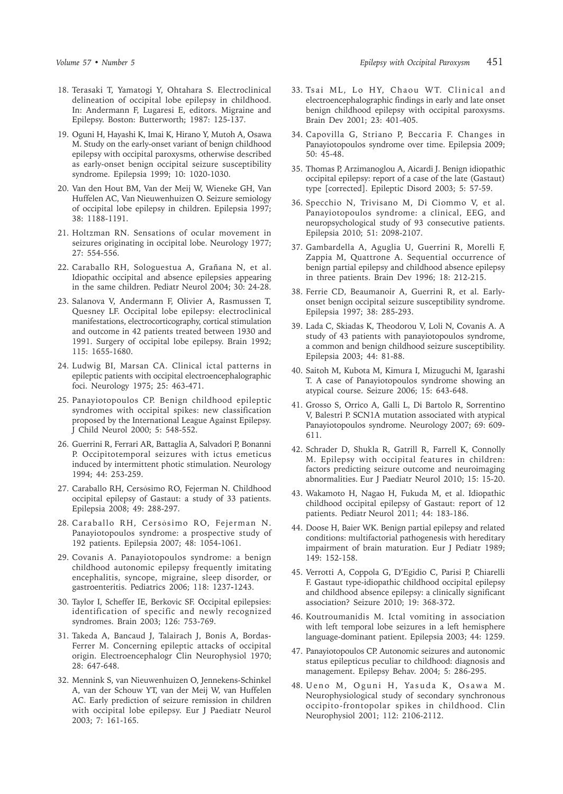- 18. Terasaki T, Yamatogi Y, Ohtahara S. Electroclinical delineation of occipital lobe epilepsy in childhood. In: Andermann F, Lugaresi E, editors. Migraine and Epilepsy. Boston: Butterworth; 1987: 125-137.
- 19. Oguni H, Hayashi K, Imai K, Hirano Y, Mutoh A, Osawa M. Study on the early-onset variant of benign childhood epilepsy with occipital paroxysms, otherwise described as early-onset benign occipital seizure susceptibility syndrome. Epilepsia 1999; 10: 1020-1030.
- 20. Van den Hout BM, Van der Meij W, Wieneke GH, Van Huffelen AC, Van Nieuwenhuizen O. Seizure semiology of occipital lobe epilepsy in children. Epilepsia 1997; 38: 1188-1191.
- 21. Holtzman RN. Sensations of ocular movement in seizures originating in occipital lobe. Neurology 1977; 27: 554-556.
- 22. Caraballo RH, Sologuestua A, Grañana N, et al. Idiopathic occipital and absence epilepsies appearing in the same children. Pediatr Neurol 2004; 30: 24-28.
- 23. Salanova V, Andermann F, Olivier A, Rasmussen T, Quesney LF. Occipital lobe epilepsy: electroclinical manifestations, electrocorticography, cortical stimulation and outcome in 42 patients treated between 1930 and 1991. Surgery of occipital lobe epilepsy. Brain 1992; 115: 1655-1680.
- 24. Ludwig BI, Marsan CA. Clinical ictal patterns in epileptic patients with occipital electroencephalographic foci. Neurology 1975; 25: 463-471.
- 25. Panayiotopoulos CP. Benign childhood epileptic syndromes with occipital spikes: new classification proposed by the International League Against Epilepsy. J Child Neurol 2000; 5: 548-552.
- 26. Guerrini R, Ferrari AR, Battaglia A, Salvadori P, Bonanni P. Occipitotemporal seizures with ictus emeticus induced by intermittent photic stimulation. Neurology 1994; 44: 253-259.
- 27. Caraballo RH, Cersỏsimo RO, Fejerman N. Childhood occipital epilepsy of Gastaut: a study of 33 patients. Epilepsia 2008; 49: 288-297.
- 28. Caraballo RH, Cersỏsimo RO, Fejerman N. Panayiotopoulos syndrome: a prospective study of 192 patients. Epilepsia 2007; 48: 1054-1061.
- 29. Covanis A. Panayiotopoulos syndrome: a benign childhood autonomic epilepsy frequently imitating encephalitis, syncope, migraine, sleep disorder, or gastroenteritis. Pediatrics 2006; 118: 1237**-**1243.
- 30. Taylor I, Scheffer IE, Berkovic SF. Occipital epilepsies: identification of specific and newly recognized syndromes. Brain 2003; 126: 753-769.
- 31. Takeda A, Bancaud J, Talairach J, Bonis A, Bordas-Ferrer M. Concerning epileptic attacks of occipital origin. Electroencephalogr Clin Neurophysiol 1970; 28: 647-648.
- 32. Mennink S, van Nieuwenhuizen O, Jennekens-Schinkel A, van der Schouw YT, van der Meij W, van Huffelen AC. Early prediction of seizure remission in children with occipital lobe epilepsy. Eur J Paediatr Neurol 2003; 7: 161-165.
- 33. Tsai ML, Lo HY, Chaou WT. Clinical and electroencephalographic findings in early and late onset benign childhood epilepsy with occipital paroxysms. Brain Dev 2001; 23: 401-405.
- 34. Capovilla G, Striano P, Beccaria F. Changes in Panayiotopoulos syndrome over time. Epilepsia 2009; 50: 45-48.
- 35. Thomas P, Arzimanoglou A, Aicardi J. Benign idiopathic occipital epilepsy: report of a case of the late (Gastaut) type [corrected]. Epileptic Disord 2003; 5: 57-59.
- 36. Specchio N, Trivisano M, Di Ciommo V, et al. Panayiotopoulos syndrome: a clinical, EEG, and neuropsychological study of 93 consecutive patients. Epilepsia 2010; 51: 2098-2107.
- 37. Gambardella A, Aguglia U, Guerrini R, Morelli F, Zappia M, Quattrone A. Sequential occurrence of benign partial epilepsy and childhood absence epilepsy in three patients. Brain Dev 1996; 18: 212-215.
- 38. Ferrie CD, Beaumanoir A, Guerrini R, et al. Earlyonset benign occipital seizure susceptibility syndrome. Epilepsia 1997; 38: 285-293.
- 39. Lada C, Skiadas K, Theodorou V, Loli N, Covanis A. A study of 43 patients with panayiotopoulos syndrome, a common and benign childhood seizure susceptibility. Epilepsia 2003; 44: 81-88.
- 40. Saitoh M, Kubota M, Kimura I, Mizuguchi M, Igarashi T. A case of Panayiotopoulos syndrome showing an atypical course. Seizure 2006; 15: 643-648.
- 41. Grosso S, Orrico A, Galli L, Di Bartolo R, Sorrentino V, Balestri P. SCN1A mutation associated with atypical Panayiotopoulos syndrome. Neurology 2007; 69: 609- 611.
- 42. Schrader D, Shukla R, Gatrill R, Farrell K, Connolly M. Epilepsy with occipital features in children: factors predicting seizure outcome and neuroimaging abnormalities. Eur J Paediatr Neurol 2010; 15: 15-20.
- 43. Wakamoto H, Nagao H, Fukuda M, et al. Idiopathic childhood occipital epilepsy of Gastaut: report of 12 patients. Pediatr Neurol 2011; 44: 183-186.
- 44. Doose H, Baier WK. Benign partial epilepsy and related conditions: multifactorial pathogenesis with hereditary impairment of brain maturation. Eur J Pediatr 1989; 149: 152-158.
- 45. Verrotti A, Coppola G, D'Egidio C, Parisi P, Chiarelli F. Gastaut type-idiopathic childhood occipital epilepsy and childhood absence epilepsy: a clinically significant association? Seizure 2010; 19: 368-372.
- 46. Koutroumanidis M. Ictal vomiting in association with left temporal lobe seizures in a left hemisphere language-dominant patient. Epilepsia 2003; 44: 1259.
- 47. Panayiotopoulos CP. Autonomic seizures and autonomic status epilepticus peculiar to childhood: diagnosis and management. Epilepsy Behav. 2004; 5: 286-295.
- 48. Ueno M, Oguni H, Yasuda K, Osawa M. Neurophysiological study of secondary synchronous occipito-frontopolar spikes in childhood. Clin Neurophysiol 2001; 112: 2106-2112.